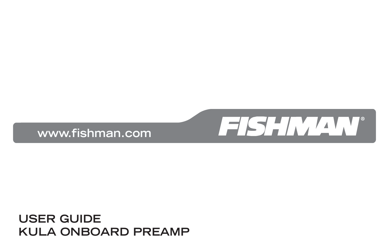## **USER GUIDE KULA ONBOARD PREAMP**



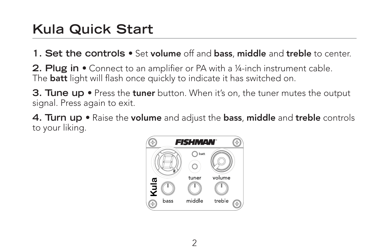## **Kula Quick Start**

**1. Set the controls •** Set **volume** off and **bass**, **middle** and **treble** to center.

**2. Plug in •** Connect to an amplifier or PA with a ¼-inch instrument cable. The **batt** light will flash once quickly to indicate it has switched on.

**3. Tune up •** Press the **tuner** button. When it's on, the tuner mutes the output signal. Press again to exit.

**4. Turn up •** Raise the **volume** and adjust the **bass**, **middle** and **treble** controls to your liking.

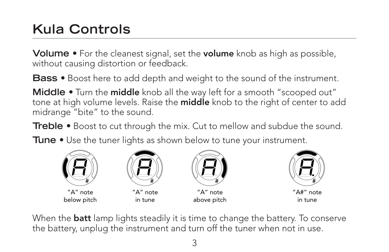## **Kula Controls**

**Volume •** For the cleanest signal, set the **volume** knob as high as possible, without causing distortion or feedback.

**Bass •** Boost here to add depth and weight to the sound of the instrument.

**Middle •** Turn the **middle** knob all the way left for a smooth "scooped out" tone at high volume levels. Raise the **middle** knob to the right of center to add midrange "bite" to the sound.

**Treble •** Boost to cut through the mix. Cut to mellow and subdue the sound.

**Tune •** Use the tuner lights as shown below to tune your instrument.



"A" note below pitch



in tune



"A" note above pitch



"A#" note in tune

When the **batt** lamp lights steadily it is time to change the battery. To conserve the battery, unplug the instrument and turn off the tuner when not in use.